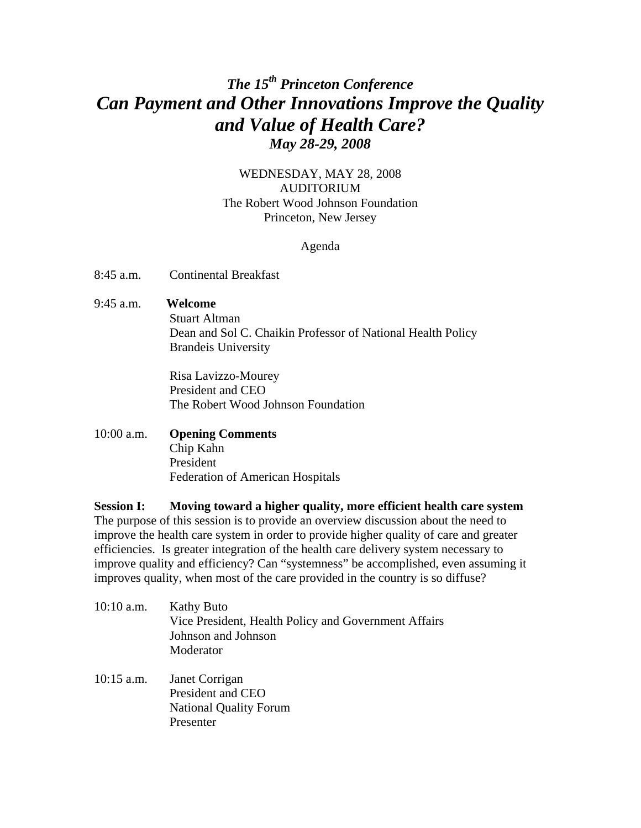# *The 15th Princeton Conference Can Payment and Other Innovations Improve the Quality and Value of Health Care? May 28-29, 2008*

# WEDNESDAY, MAY 28, 2008 AUDITORIUM The Robert Wood Johnson Foundation Princeton, New Jersey

#### Agenda

8:45 a.m. Continental Breakfast

## 9:45 a.m. **Welcome**

 Stuart Altman Dean and Sol C. Chaikin Professor of National Health Policy Brandeis University

Risa Lavizzo-Mourey President and CEO The Robert Wood Johnson Foundation

## 10:00 a.m. **Opening Comments** Chip Kahn President Federation of American Hospitals

**Session I: Moving toward a higher quality, more efficient health care system** The purpose of this session is to provide an overview discussion about the need to improve the health care system in order to provide higher quality of care and greater efficiencies. Is greater integration of the health care delivery system necessary to improve quality and efficiency? Can "systemness" be accomplished, even assuming it improves quality, when most of the care provided in the country is so diffuse?

- 10:10 a.m. Kathy Buto Vice President, Health Policy and Government Affairs Johnson and Johnson Moderator
- 10:15 a.m. Janet Corrigan President and CEO National Quality Forum Presenter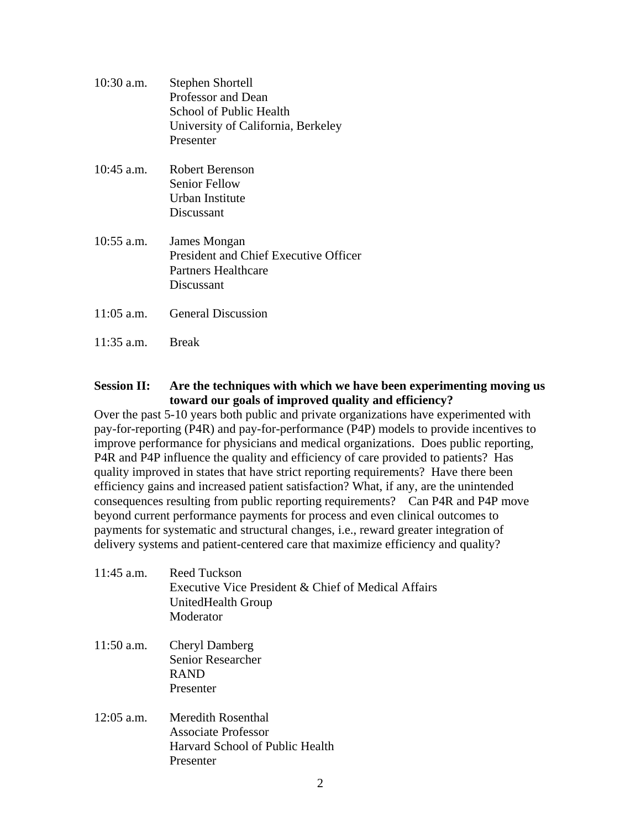| 10:30 a.m.   | Stephen Shortell<br>Professor and Dean<br>School of Public Health<br>University of California, Berkeley<br>Presenter |
|--------------|----------------------------------------------------------------------------------------------------------------------|
| $10:45$ a.m. | Robert Berenson<br><b>Senior Fellow</b><br>Urban Institute<br>Discussant                                             |
| $10:55$ a.m. | James Mongan<br>President and Chief Executive Officer<br>Partners Healthcare<br>Discussant                           |
| $11:05$ a.m. | <b>General Discussion</b>                                                                                            |
| $11:35$ a.m. | <b>Break</b>                                                                                                         |

# **Session II: Are the techniques with which we have been experimenting moving us toward our goals of improved quality and efficiency?**

Over the past 5-10 years both public and private organizations have experimented with pay-for-reporting (P4R) and pay-for-performance (P4P) models to provide incentives to improve performance for physicians and medical organizations. Does public reporting, P4R and P4P influence the quality and efficiency of care provided to patients? Has quality improved in states that have strict reporting requirements? Have there been efficiency gains and increased patient satisfaction? What, if any, are the unintended consequences resulting from public reporting requirements? Can P4R and P4P move beyond current performance payments for process and even clinical outcomes to payments for systematic and structural changes, i.e., reward greater integration of delivery systems and patient-centered care that maximize efficiency and quality?

| $11:45$ a.m. | Reed Tuckson<br>Executive Vice President & Chief of Medical Affairs<br>UnitedHealth Group<br>Moderator |
|--------------|--------------------------------------------------------------------------------------------------------|
| $11:50$ a.m. | <b>Cheryl Damberg</b><br><b>Senior Researcher</b><br><b>RAND</b><br>Presenter                          |
| $12:05$ a.m. | Meredith Rosenthal<br>Associate Professor<br>Harvard School of Public Health<br>Presenter              |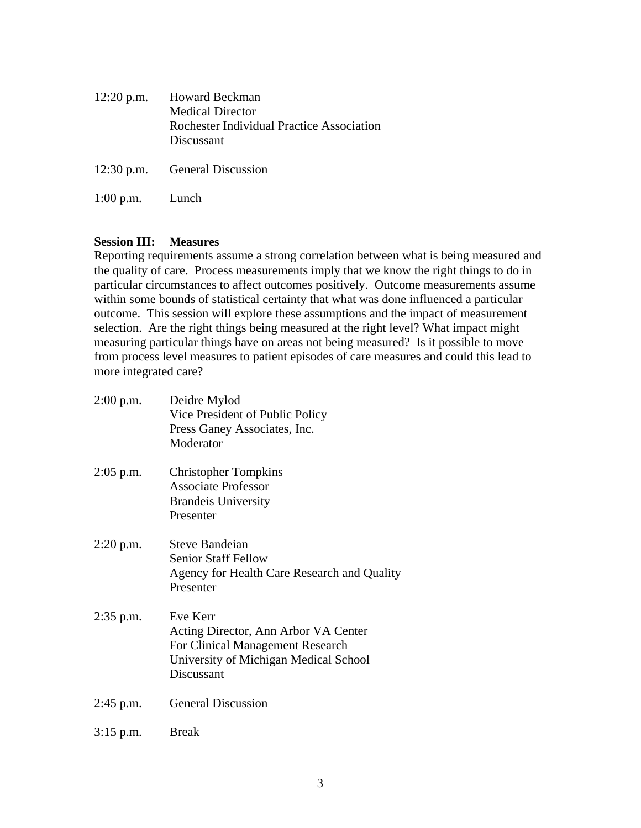|                   | 12:20 p.m. Howard Beckman<br><b>Medical Director</b><br>Rochester Individual Practice Association<br>Discussant |
|-------------------|-----------------------------------------------------------------------------------------------------------------|
|                   | 12:30 p.m. General Discussion                                                                                   |
| $1:00$ p.m. Lunch |                                                                                                                 |

## **Session III: Measures**

Reporting requirements assume a strong correlation between what is being measured and the quality of care. Process measurements imply that we know the right things to do in particular circumstances to affect outcomes positively. Outcome measurements assume within some bounds of statistical certainty that what was done influenced a particular outcome. This session will explore these assumptions and the impact of measurement selection. Are the right things being measured at the right level? What impact might measuring particular things have on areas not being measured? Is it possible to move from process level measures to patient episodes of care measures and could this lead to more integrated care?

| $2:00$ p.m. | Deidre Mylod<br>Vice President of Public Policy<br>Press Ganey Associates, Inc.<br>Moderator                                                |
|-------------|---------------------------------------------------------------------------------------------------------------------------------------------|
| $2:05$ p.m. | <b>Christopher Tompkins</b><br><b>Associate Professor</b><br><b>Brandeis University</b><br>Presenter                                        |
| $2:20$ p.m. | Steve Bandeian<br><b>Senior Staff Fellow</b><br>Agency for Health Care Research and Quality<br>Presenter                                    |
| 2:35 p.m.   | Eve Kerr<br>Acting Director, Ann Arbor VA Center<br>For Clinical Management Research<br>University of Michigan Medical School<br>Discussant |
| $2:45$ p.m. | <b>General Discussion</b>                                                                                                                   |
| $3:15$ p.m. | <b>Break</b>                                                                                                                                |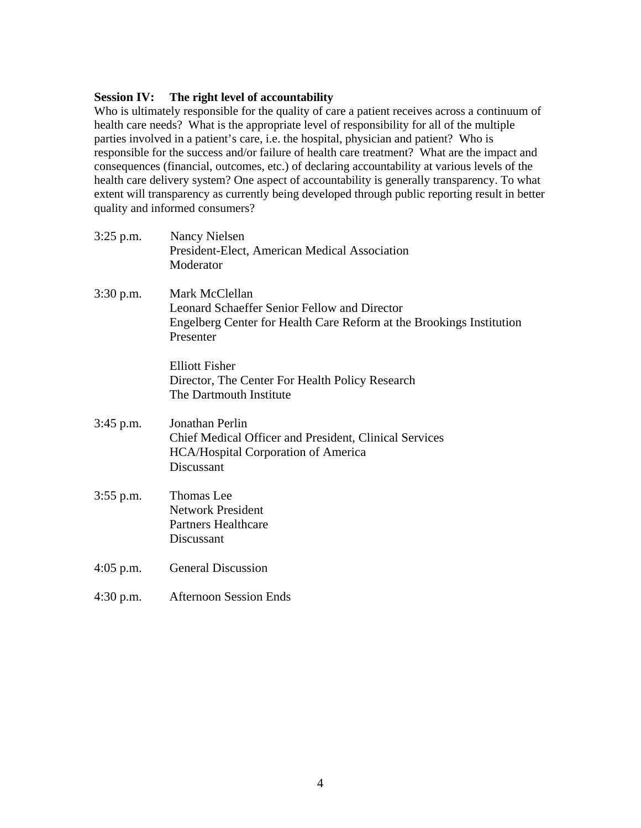## **Session IV: The right level of accountability**

Who is ultimately responsible for the quality of care a patient receives across a continuum of health care needs? What is the appropriate level of responsibility for all of the multiple parties involved in a patient's care, i.e. the hospital, physician and patient? Who is responsible for the success and/or failure of health care treatment? What are the impact and consequences (financial, outcomes, etc.) of declaring accountability at various levels of the health care delivery system? One aspect of accountability is generally transparency. To what extent will transparency as currently being developed through public reporting result in better quality and informed consumers?

| $3:25$ p.m. | Nancy Nielsen<br>President-Elect, American Medical Association<br>Moderator                                                                         |
|-------------|-----------------------------------------------------------------------------------------------------------------------------------------------------|
| $3:30$ p.m. | Mark McClellan<br>Leonard Schaeffer Senior Fellow and Director<br>Engelberg Center for Health Care Reform at the Brookings Institution<br>Presenter |
|             | <b>Elliott Fisher</b><br>Director, The Center For Health Policy Research<br>The Dartmouth Institute                                                 |
| $3:45$ p.m. | Jonathan Perlin<br>Chief Medical Officer and President, Clinical Services<br><b>HCA/Hospital Corporation of America</b><br>Discussant               |
| $3:55$ p.m. | <b>Thomas Lee</b><br><b>Network President</b><br><b>Partners Healthcare</b><br>Discussant                                                           |
| $4:05$ p.m. | <b>General Discussion</b>                                                                                                                           |
| $4:30$ p.m. | <b>Afternoon Session Ends</b>                                                                                                                       |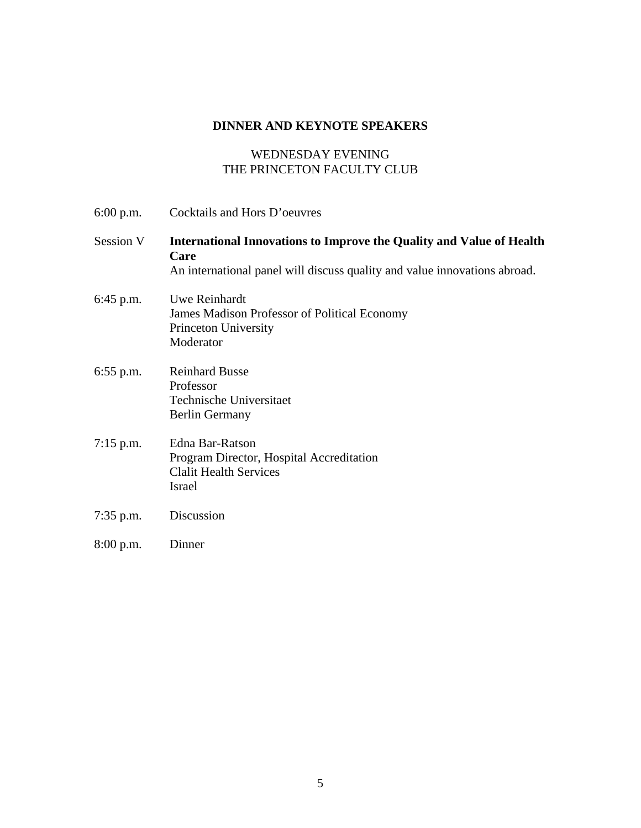# **DINNER AND KEYNOTE SPEAKERS**

# WEDNESDAY EVENING THE PRINCETON FACULTY CLUB

| $6:00$ p.m. | Cocktails and Hors D'oeuvres                                                                                                                              |
|-------------|-----------------------------------------------------------------------------------------------------------------------------------------------------------|
| Session V   | International Innovations to Improve the Quality and Value of Health<br>Care<br>An international panel will discuss quality and value innovations abroad. |
| $6:45$ p.m. | Uwe Reinhardt<br>James Madison Professor of Political Economy<br>Princeton University<br>Moderator                                                        |
| $6:55$ p.m. | <b>Reinhard Busse</b><br>Professor<br>Technische Universitaet<br><b>Berlin Germany</b>                                                                    |
| $7:15$ p.m. | <b>Edna Bar-Ratson</b><br>Program Director, Hospital Accreditation<br><b>Clalit Health Services</b><br>Israel                                             |
| $7:35$ p.m. | Discussion                                                                                                                                                |
| $8:00$ p.m. | Dinner                                                                                                                                                    |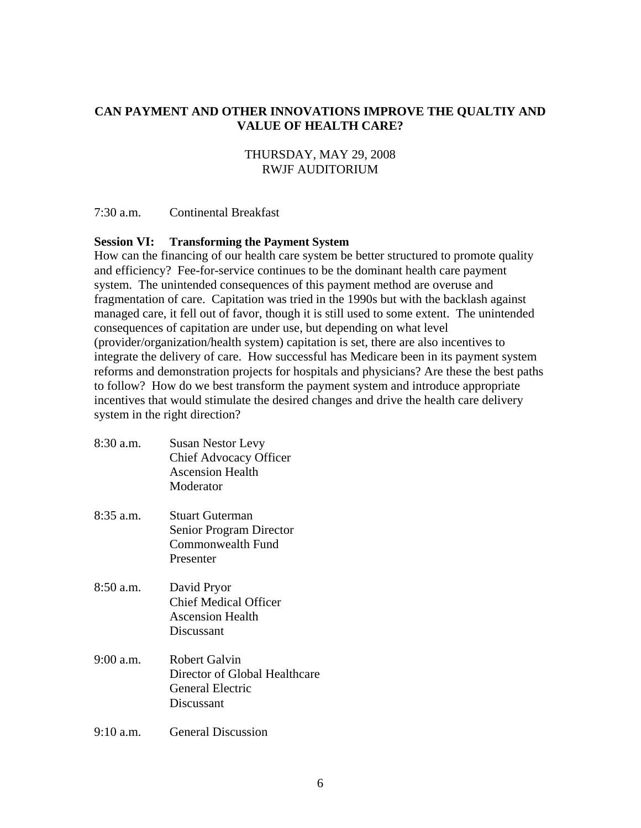## **CAN PAYMENT AND OTHER INNOVATIONS IMPROVE THE QUALTIY AND VALUE OF HEALTH CARE?**

## THURSDAY, MAY 29, 2008 RWJF AUDITORIUM

7:30 a.m. Continental Breakfast

## **Session VI: Transforming the Payment System**

How can the financing of our health care system be better structured to promote quality and efficiency? Fee-for-service continues to be the dominant health care payment system. The unintended consequences of this payment method are overuse and fragmentation of care. Capitation was tried in the 1990s but with the backlash against managed care, it fell out of favor, though it is still used to some extent. The unintended consequences of capitation are under use, but depending on what level (provider/organization/health system) capitation is set, there are also incentives to integrate the delivery of care. How successful has Medicare been in its payment system reforms and demonstration projects for hospitals and physicians? Are these the best paths to follow? How do we best transform the payment system and introduce appropriate incentives that would stimulate the desired changes and drive the health care delivery system in the right direction?

8:30 a.m. Susan Nestor Levy Chief Advocacy Officer Ascension Health Moderator 8:35 a.m. Stuart Guterman Senior Program Director Commonwealth Fund Presenter 8:50 a.m. David Pryor Chief Medical Officer Ascension Health Discussant 9:00 a.m. Robert Galvin Director of Global Healthcare General Electric Discussant 9:10 a.m. General Discussion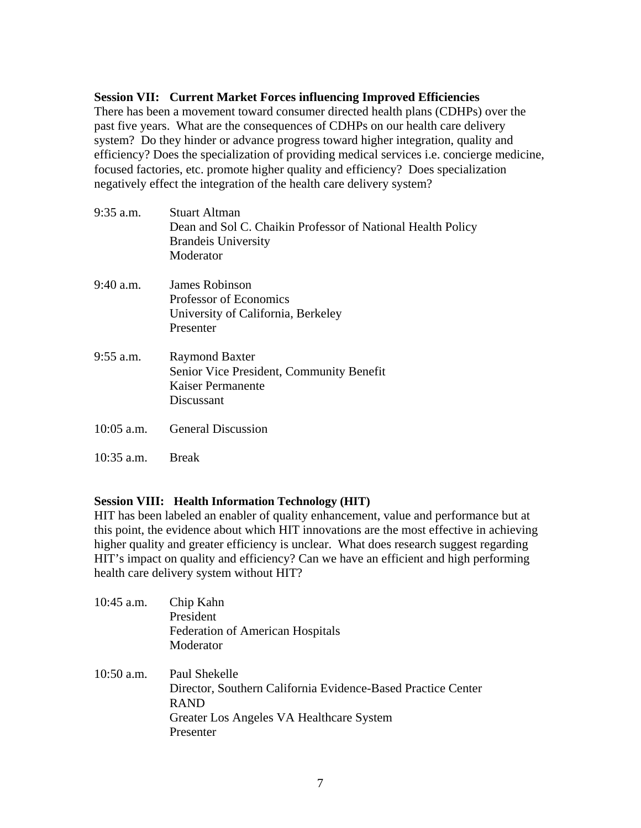## **Session VII: Current Market Forces influencing Improved Efficiencies**

There has been a movement toward consumer directed health plans (CDHPs) over the past five years. What are the consequences of CDHPs on our health care delivery system? Do they hinder or advance progress toward higher integration, quality and efficiency? Does the specialization of providing medical services i.e. concierge medicine, focused factories, etc. promote higher quality and efficiency? Does specialization negatively effect the integration of the health care delivery system?

| $9:35$ a.m.  | Stuart Altman<br>Dean and Sol C. Chaikin Professor of National Health Policy<br><b>Brandelly</b> University<br>Moderator |
|--------------|--------------------------------------------------------------------------------------------------------------------------|
| $9:40$ a.m.  | James Robinson<br>Professor of Economics<br>University of California, Berkeley<br>Presenter                              |
| $9:55$ a.m.  | <b>Raymond Baxter</b><br>Senior Vice President, Community Benefit<br>Kaiser Permanente<br>Discussant                     |
| $10:05$ a.m. | <b>General Discussion</b>                                                                                                |
| $10:35$ a.m. | <b>Break</b>                                                                                                             |

## **Session VIII: Health Information Technology (HIT)**

HIT has been labeled an enabler of quality enhancement, value and performance but at this point, the evidence about which HIT innovations are the most effective in achieving higher quality and greater efficiency is unclear. What does research suggest regarding HIT's impact on quality and efficiency? Can we have an efficient and high performing health care delivery system without HIT?

| $10:45$ a.m. | Chip Kahn                                                    |
|--------------|--------------------------------------------------------------|
|              | President                                                    |
|              | <b>Federation of American Hospitals</b>                      |
|              | Moderator                                                    |
| $10:50$ a.m. | Paul Shekelle                                                |
|              | Director, Southern California Evidence-Based Practice Center |
|              | <b>RAND</b>                                                  |
|              | Greater Los Angeles VA Healthcare System                     |
|              | Presenter                                                    |